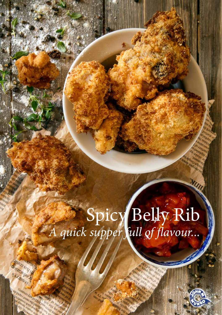# Spicy Belly Rib *A quick supper full of flavour...*

**Puro SPH SADRIDS** s Kritino

**Isourain parameter** 



WIND